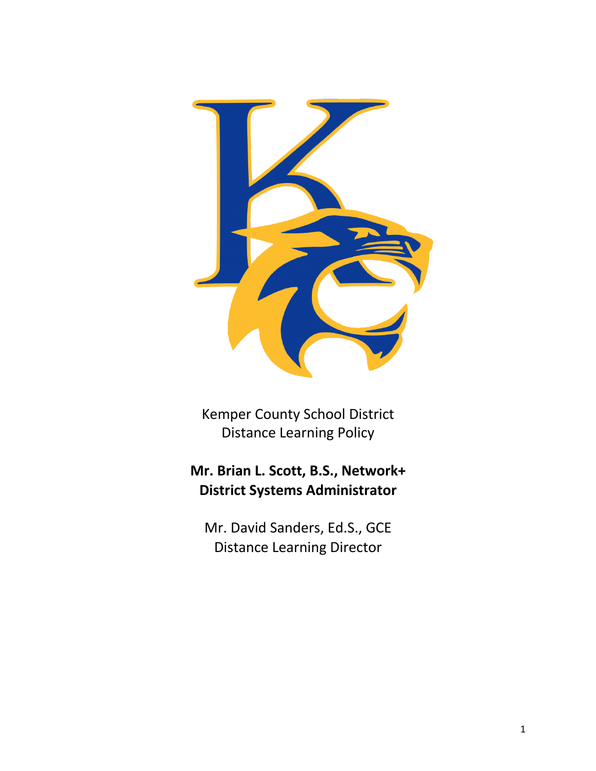

Kemper County School District Distance Learning Policy

# **Mr. Brian L. Scott, B.S., Network+ District Systems Administrator**

Mr. David Sanders, Ed.S., GCE Distance Learning Director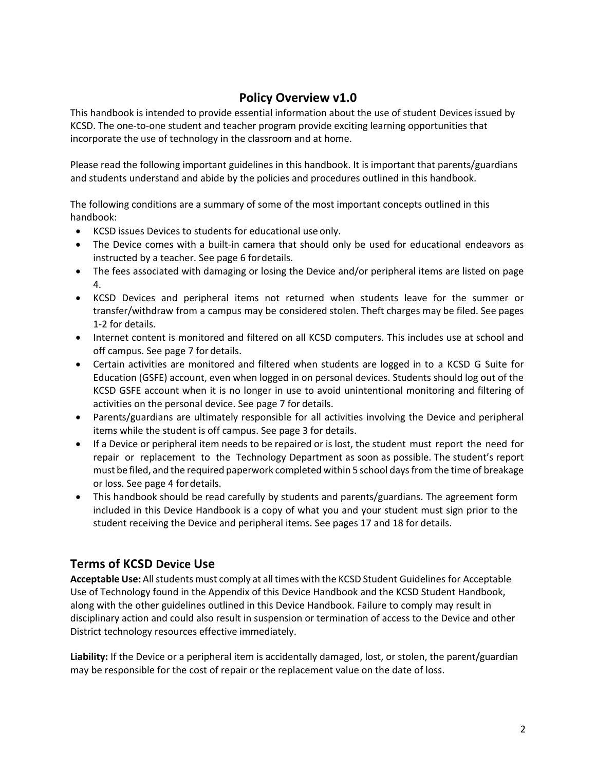# **Policy Overview v1.0**

This handbook is intended to provide essential information about the use of student Devices issued by KCSD. The one-to-one student and teacher program provide exciting learning opportunities that incorporate the use of technology in the classroom and at home.

Please read the following important guidelines in this handbook. It is important that parents/guardians and students understand and abide by the policies and procedures outlined in this handbook.

The following conditions are a summary of some of the most important concepts outlined in this handbook:

- KCSD issues Devices to students for educational use only.
- The Device comes with a built-in camera that should only be used for educational endeavors as instructed by a teacher. See page 6 fordetails.
- The fees associated with damaging or losing the Device and/or peripheral items are listed on page 4.
- KCSD Devices and peripheral items not returned when students leave for the summer or transfer/withdraw from a campus may be considered stolen. Theft charges may be filed. See pages 1-2 for details.
- Internet content is monitored and filtered on all KCSD computers. This includes use at school and off campus. See page 7 for details.
- Certain activities are monitored and filtered when students are logged in to a KCSD G Suite for Education (GSFE) account, even when logged in on personal devices. Students should log out of the KCSD GSFE account when it is no longer in use to avoid unintentional monitoring and filtering of activities on the personal device. See page 7 for details.
- Parents/guardians are ultimately responsible for all activities involving the Device and peripheral items while the student is off campus. See page 3 for details.
- If a Device or peripheral item needs to be repaired or is lost, the student must report the need for repair or replacement to the Technology Department as soon as possible. The student's report must be filed, and the required paperwork completed within 5 school days from the time of breakage or loss. See page 4 fordetails.
- This handbook should be read carefully by students and parents/guardians. The agreement form included in this Device Handbook is a copy of what you and your student must sign prior to the student receiving the Device and peripheral items. See pages 17 and 18 for details.

# **Terms of KCSD Device Use**

**Acceptable Use:** Allstudents must comply at all times with the KCSD Student Guidelines for Acceptable Use of Technology found in the Appendix of this Device Handbook and the KCSD Student Handbook, along with the other guidelines outlined in this Device Handbook. Failure to comply may result in disciplinary action and could also result in suspension or termination of access to the Device and other District technology resources effective immediately.

**Liability:** If the Device or a peripheral item is accidentally damaged, lost, or stolen, the parent/guardian may be responsible for the cost of repair or the replacement value on the date of loss.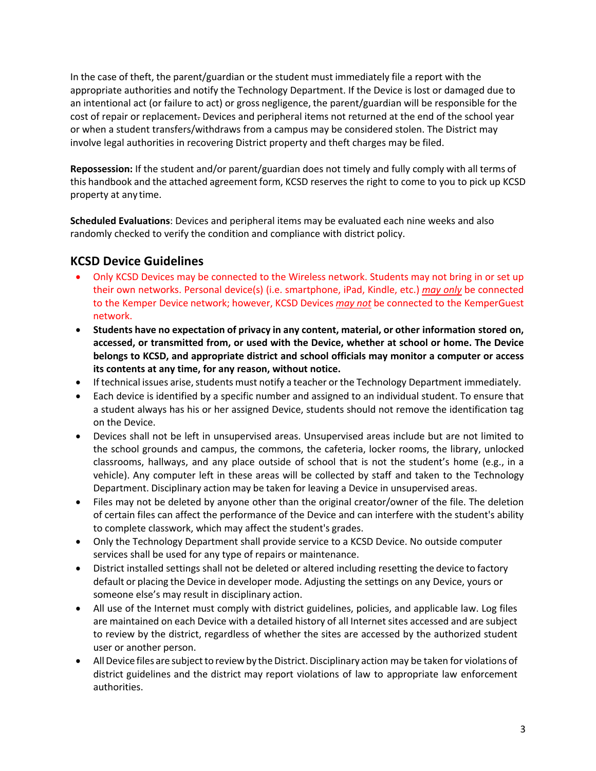In the case of theft, the parent/guardian or the student must immediately file a report with the appropriate authorities and notify the Technology Department. If the Device is lost or damaged due to an intentional act (or failure to act) or gross negligence, the parent/guardian will be responsible for the cost of repair or replacement. Devices and peripheral items not returned at the end of the school year or when a student transfers/withdraws from a campus may be considered stolen. The District may involve legal authorities in recovering District property and theft charges may be filed.

**Repossession:** If the student and/or parent/guardian does not timely and fully comply with all terms of this handbook and the attached agreement form, KCSD reserves the right to come to you to pick up KCSD property at any time.

**Scheduled Evaluations**: Devices and peripheral items may be evaluated each nine weeks and also randomly checked to verify the condition and compliance with district policy.

# **KCSD Device Guidelines**

- Only KCSD Devices may be connected to the Wireless network. Students may not bring in or set up their own networks. Personal device(s) (i.e. smartphone, iPad, Kindle, etc.) *may only* be connected to the Kemper Device network; however, KCSD Devices *may not* be connected to the KemperGuest network.
- **Students have no expectation of privacy in any content, material, or other information stored on, accessed, or transmitted from, or used with the Device, whether at school or home. The Device belongs to KCSD, and appropriate district and school officials may monitor a computer or access its contents at any time, for any reason, without notice.**
- If technical issues arise, students must notify a teacher or the Technology Department immediately.
- Each device is identified by a specific number and assigned to an individual student. To ensure that a student always has his or her assigned Device, students should not remove the identification tag on the Device.
- Devices shall not be left in unsupervised areas. Unsupervised areas include but are not limited to the school grounds and campus, the commons, the cafeteria, locker rooms, the library, unlocked classrooms, hallways, and any place outside of school that is not the student's home (e.g., in a vehicle). Any computer left in these areas will be collected by staff and taken to the Technology Department. Disciplinary action may be taken for leaving a Device in unsupervised areas.
- Files may not be deleted by anyone other than the original creator/owner of the file. The deletion of certain files can affect the performance of the Device and can interfere with the student's ability to complete classwork, which may affect the student's grades.
- Only the Technology Department shall provide service to a KCSD Device. No outside computer services shall be used for any type of repairs or maintenance.
- District installed settings shall not be deleted or altered including resetting the device to factory default or placing the Device in developer mode. Adjusting the settings on any Device, yours or someone else's may result in disciplinary action.
- All use of the Internet must comply with district guidelines, policies, and applicable law. Log files are maintained on each Device with a detailed history of all Internet sites accessed and are subject to review by the district, regardless of whether the sites are accessed by the authorized student user or another person.
- All Device files are subject to review by the District. Disciplinary action may be taken for violations of district guidelines and the district may report violations of law to appropriate law enforcement authorities.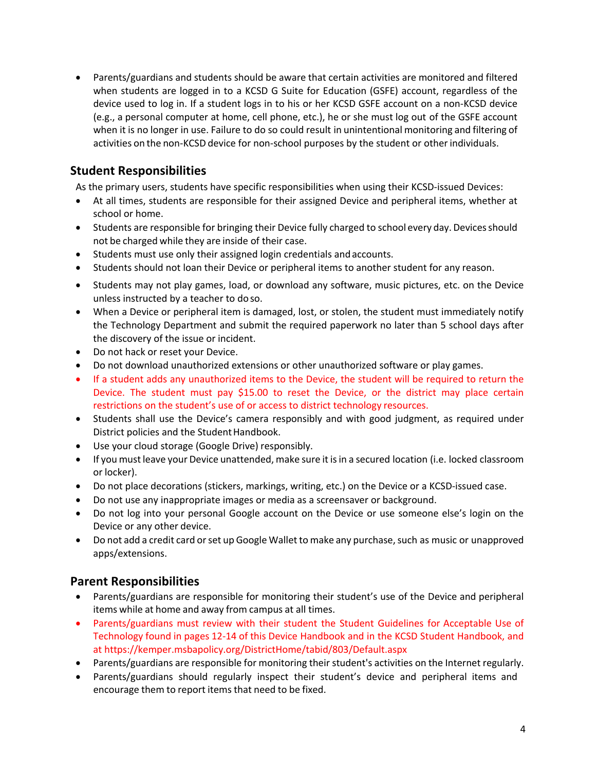• Parents/guardians and students should be aware that certain activities are monitored and filtered when students are logged in to a KCSD G Suite for Education (GSFE) account, regardless of the device used to log in. If a student logs in to his or her KCSD GSFE account on a non-KCSD device (e.g., a personal computer at home, cell phone, etc.), he or she must log out of the GSFE account when it is no longer in use. Failure to do so could result in unintentional monitoring and filtering of activities on the non-KCSD device for non-school purposes by the student or otherindividuals.

# **Student Responsibilities**

As the primary users, students have specific responsibilities when using their KCSD-issued Devices:

- At all times, students are responsible for their assigned Device and peripheral items, whether at school or home.
- Students are responsible for bringing their Device fully charged to school every day. Devices should not be charged while they are inside of their case.
- Students must use only their assigned login credentials andaccounts.
- Students should not loan their Device or peripheral items to another student for any reason.
- Students may not play games, load, or download any software, music pictures, etc. on the Device unless instructed by a teacher to doso.
- When a Device or peripheral item is damaged, lost, or stolen, the student must immediately notify the Technology Department and submit the required paperwork no later than 5 school days after the discovery of the issue or incident.
- Do not hack or reset your Device.
- Do not download unauthorized extensions or other unauthorized software or play games.
- If a student adds any unauthorized items to the Device, the student will be required to return the Device. The student must pay \$15.00 to reset the Device, or the district may place certain restrictions on the student's use of or access to district technology resources.
- Students shall use the Device's camera responsibly and with good judgment, as required under District policies and the Student Handbook.
- Use your cloud storage (Google Drive) responsibly.
- If you must leave your Device unattended, make sure it isin a secured location (i.e. locked classroom or locker).
- Do not place decorations (stickers, markings, writing, etc.) on the Device or a KCSD-issued case.
- Do not use any inappropriate images or media as a screensaver or background.
- Do not log into your personal Google account on the Device or use someone else's login on the Device or any other device.
- Do not add a credit card or set up Google Wallet to make any purchase, such as music or unapproved apps/extensions.

## **Parent Responsibilities**

- Parents/guardians are responsible for monitoring their student's use of the Device and peripheral items while at home and away from campus at all times.
- Parents/guardians must review with their student the Student Guidelines for Acceptable Use of Technology found in pages 12-14 of this Device Handbook and in the KCSD Student Handbook, and at https://kemper.msbapolicy.org/DistrictHome/tabid/803/Default.aspx
- Parents/guardians are responsible for monitoring their student's activities on the Internet regularly.
- Parents/guardians should regularly inspect their student's device and peripheral items and encourage them to report items that need to be fixed.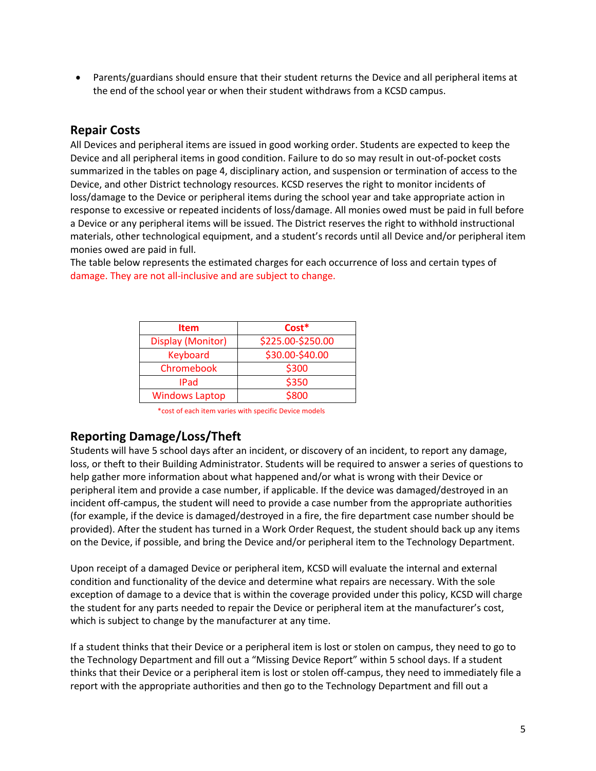• Parents/guardians should ensure that their student returns the Device and all peripheral items at the end of the school year or when their student withdraws from a KCSD campus.

## **Repair Costs**

All Devices and peripheral items are issued in good working order. Students are expected to keep the Device and all peripheral items in good condition. Failure to do so may result in out-of-pocket costs summarized in the tables on page 4, disciplinary action, and suspension or termination of access to the Device, and other District technology resources. KCSD reserves the right to monitor incidents of loss/damage to the Device or peripheral items during the school year and take appropriate action in response to excessive or repeated incidents of loss/damage. All monies owed must be paid in full before a Device or any peripheral items will be issued. The District reserves the right to withhold instructional materials, other technological equipment, and a student's records until all Device and/or peripheral item monies owed are paid in full.

The table below represents the estimated charges for each occurrence of loss and certain types of damage. They are not all-inclusive and are subject to change.

| <b>Item</b>           | $Cost*$           |
|-----------------------|-------------------|
| Display (Monitor)     | \$225.00-\$250.00 |
| Keyboard              | \$30.00-\$40.00   |
| Chromebook            | \$300             |
| <b>IPad</b>           | \$350             |
| <b>Windows Laptop</b> | \$800             |

\*cost of each item varies with specific Device models

## **Reporting Damage/Loss/Theft**

Students will have 5 school days after an incident, or discovery of an incident, to report any damage, loss, or theft to their Building Administrator. Students will be required to answer a series of questions to help gather more information about what happened and/or what is wrong with their Device or peripheral item and provide a case number, if applicable. If the device was damaged/destroyed in an incident off-campus, the student will need to provide a case number from the appropriate authorities (for example, if the device is damaged/destroyed in a fire, the fire department case number should be provided). After the student has turned in a Work Order Request, the student should back up any items on the Device, if possible, and bring the Device and/or peripheral item to the Technology Department.

Upon receipt of a damaged Device or peripheral item, KCSD will evaluate the internal and external condition and functionality of the device and determine what repairs are necessary. With the sole exception of damage to a device that is within the coverage provided under this policy, KCSD will charge the student for any parts needed to repair the Device or peripheral item at the manufacturer's cost, which is subject to change by the manufacturer at any time.

If a student thinks that their Device or a peripheral item is lost or stolen on campus, they need to go to the Technology Department and fill out a "Missing Device Report" within 5 school days. If a student thinks that their Device or a peripheral item is lost or stolen off-campus, they need to immediately file a report with the appropriate authorities and then go to the Technology Department and fill out a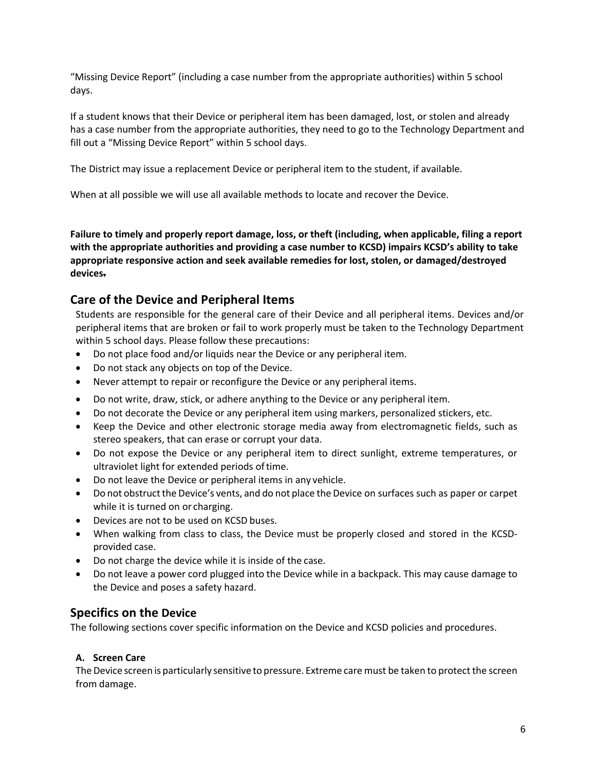"Missing Device Report" (including a case number from the appropriate authorities) within 5 school days.

If a student knows that their Device or peripheral item has been damaged, lost, or stolen and already has a case number from the appropriate authorities, they need to go to the Technology Department and fill out a "Missing Device Report" within 5 school days.

The District may issue a replacement Device or peripheral item to the student, if available.

When at all possible we will use all available methods to locate and recover the Device.

**Failure to timely and properly report damage, loss, or theft (including, when applicable, filing a report with the appropriate authorities and providing a case number to KCSD) impairs KCSD's ability to take appropriate responsive action and seek available remedies for lost, stolen, or damaged/destroyed devices.**

# **Care of the Device and Peripheral Items**

Students are responsible for the general care of their Device and all peripheral items. Devices and/or peripheral items that are broken or fail to work properly must be taken to the Technology Department within 5 school days. Please follow these precautions:

- Do not place food and/or liquids near the Device or any peripheral item.
- Do not stack any objects on top of the Device.
- Never attempt to repair or reconfigure the Device or any peripheral items.
- Do not write, draw, stick, or adhere anything to the Device or any peripheral item.
- Do not decorate the Device or any peripheral item using markers, personalized stickers, etc.
- Keep the Device and other electronic storage media away from electromagnetic fields, such as stereo speakers, that can erase or corrupt your data.
- Do not expose the Device or any peripheral item to direct sunlight, extreme temperatures, or ultraviolet light for extended periods oftime.
- Do not leave the Device or peripheral items in any vehicle.
- Do not obstruct the Device's vents, and do not place the Device on surfaces such as paper or carpet while it is turned on or charging.
- Devices are not to be used on KCSD buses.
- When walking from class to class, the Device must be properly closed and stored in the KCSDprovided case.
- Do not charge the device while it is inside of the case.
- Do not leave a power cord plugged into the Device while in a backpack. This may cause damage to the Device and poses a safety hazard.

## **Specifics on the Device**

The following sections cover specific information on the Device and KCSD policies and procedures.

#### **A. Screen Care**

The Device screen is particularly sensitive to pressure. Extreme care must be taken to protect the screen from damage.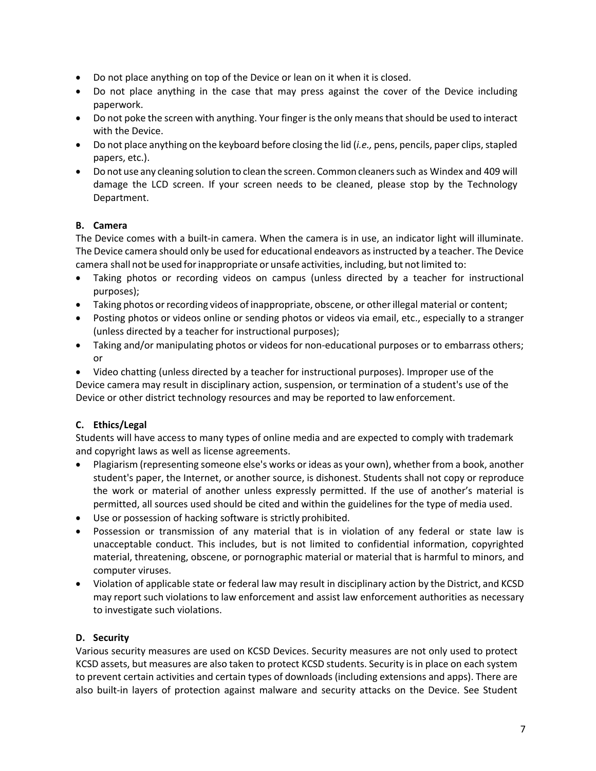- Do not place anything on top of the Device or lean on it when it is closed.
- Do not place anything in the case that may press against the cover of the Device including paperwork.
- Do not poke the screen with anything. Your finger is the only means that should be used to interact with the Device.
- Do not place anything on the keyboard before closing the lid (*i.e.,* pens, pencils, paper clips, stapled papers, etc.).
- Do not use any cleaning solution to clean the screen. Common cleaners such as Windex and 409 will damage the LCD screen. If your screen needs to be cleaned, please stop by the Technology Department.

### **B. Camera**

The Device comes with a built-in camera. When the camera is in use, an indicator light will illuminate. The Device camera should only be used for educational endeavors as instructed by a teacher. The Device camera shall not be used forinappropriate or unsafe activities, including, but notlimited to:

- Taking photos or recording videos on campus (unless directed by a teacher for instructional purposes);
- Taking photos or recording videos of inappropriate, obscene, or other illegal material or content;
- Posting photos or videos online or sending photos or videos via email, etc., especially to a stranger (unless directed by a teacher for instructional purposes);
- Taking and/or manipulating photos or videos for non-educational purposes or to embarrass others; or

• Video chatting (unless directed by a teacher for instructional purposes). Improper use of the Device camera may result in disciplinary action, suspension, or termination of a student's use of the Device or other district technology resources and may be reported to law enforcement.

## **C. Ethics/Legal**

Students will have access to many types of online media and are expected to comply with trademark and copyright laws as well as license agreements.

- Plagiarism (representing someone else's works or ideas as your own), whether from a book, another student's paper, the Internet, or another source, is dishonest. Students shall not copy or reproduce the work or material of another unless expressly permitted. If the use of another's material is permitted, all sources used should be cited and within the guidelines for the type of media used.
- Use or possession of hacking software is strictly prohibited.
- Possession or transmission of any material that is in violation of any federal or state law is unacceptable conduct. This includes, but is not limited to confidential information, copyrighted material, threatening, obscene, or pornographic material or material that is harmful to minors, and computer viruses.
- Violation of applicable state or federal law may result in disciplinary action by the District, and KCSD may report such violationsto law enforcement and assist law enforcement authorities as necessary to investigate such violations.

#### **D. Security**

Various security measures are used on KCSD Devices. Security measures are not only used to protect KCSD assets, but measures are also taken to protect KCSD students. Security is in place on each system to prevent certain activities and certain types of downloads (including extensions and apps). There are also built-in layers of protection against malware and security attacks on the Device. See Student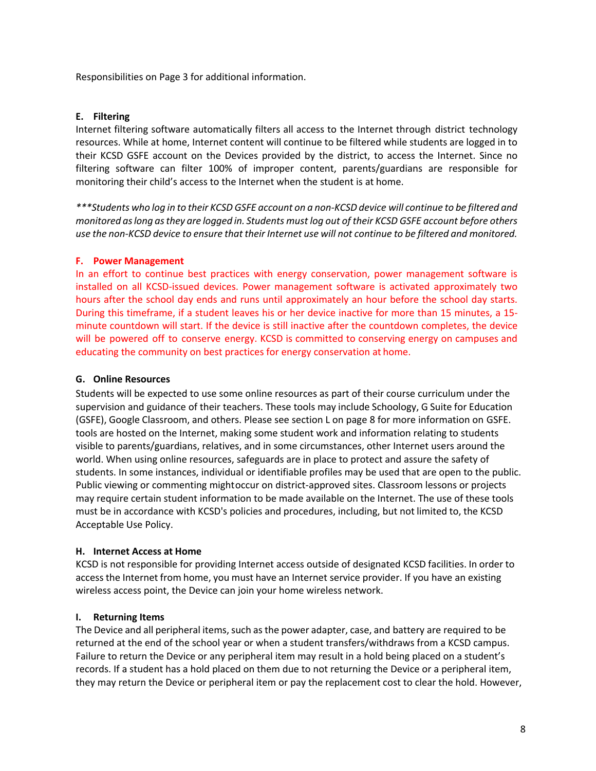Responsibilities on Page 3 for additional information.

#### **E. Filtering**

Internet filtering software automatically filters all access to the Internet through district technology resources. While at home, Internet content will continue to be filtered while students are logged in to their KCSD GSFE account on the Devices provided by the district, to access the Internet. Since no filtering software can filter 100% of improper content, parents/guardians are responsible for monitoring their child's access to the Internet when the student is at home.

\*\*\*Students who log in to their KCSD GSFE account on a non-KCSD device will continue to be filtered and *monitored aslong asthey are logged in. Students must log out of their KCSD GSFE account before others use the non-KCSD device to ensure that their Internet use will not continue to be filtered and monitored.*

#### **F. Power Management**

In an effort to continue best practices with energy conservation, power management software is installed on all KCSD-issued devices. Power management software is activated approximately two hours after the school day ends and runs until approximately an hour before the school day starts. During this timeframe, if a student leaves his or her device inactive for more than 15 minutes, a 15 minute countdown will start. If the device is still inactive after the countdown completes, the device will be powered off to conserve energy. KCSD is committed to conserving energy on campuses and educating the community on best practices for energy conservation at home.

#### **G. Online Resources**

Students will be expected to use some online resources as part of their course curriculum under the supervision and guidance of their teachers. These tools may include Schoology, G Suite for Education (GSFE), Google Classroom, and others. Please see section L on page 8 for more information on GSFE. tools are hosted on the Internet, making some student work and information relating to students visible to parents/guardians, relatives, and in some circumstances, other Internet users around the world. When using online resources, safeguards are in place to protect and assure the safety of students. In some instances, individual or identifiable profiles may be used that are open to the public. Public viewing or commenting mightoccur on district-approved sites. Classroom lessons or projects may require certain student information to be made available on the Internet. The use of these tools must be in accordance with KCSD's policies and procedures, including, but not limited to, the KCSD Acceptable Use Policy.

#### **H. Internet Access at Home**

KCSD is not responsible for providing Internet access outside of designated KCSD facilities. In order to access the Internet from home, you must have an Internet service provider. If you have an existing wireless access point, the Device can join your home wireless network.

#### **I. Returning Items**

The Device and all peripheral items, such as the power adapter, case, and battery are required to be returned at the end of the school year or when a student transfers/withdraws from a KCSD campus. Failure to return the Device or any peripheral item may result in a hold being placed on a student's records. If a student has a hold placed on them due to not returning the Device or a peripheral item, they may return the Device or peripheral item or pay the replacement cost to clear the hold. However,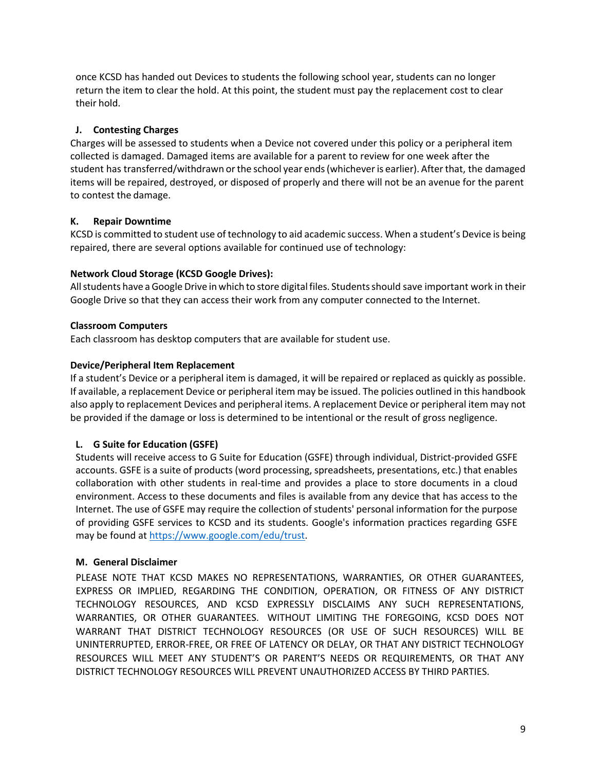once KCSD has handed out Devices to students the following school year, students can no longer return the item to clear the hold. At this point, the student must pay the replacement cost to clear their hold.

#### **J. Contesting Charges**

Charges will be assessed to students when a Device not covered under this policy or a peripheral item collected is damaged. Damaged items are available for a parent to review for one week after the student has transferred/withdrawn orthe school year ends(whicheveris earlier). Afterthat, the damaged items will be repaired, destroyed, or disposed of properly and there will not be an avenue for the parent to contest the damage.

#### **K. Repair Downtime**

KCSD is committed to student use of technology to aid academic success. When a student's Device is being repaired, there are several options available for continued use of technology:

#### **Network Cloud Storage (KCSD Google Drives):**

All students have a Google Drive in which to store digital files. Students should save important work in their Google Drive so that they can access their work from any computer connected to the Internet.

#### **Classroom Computers**

Each classroom has desktop computers that are available for student use.

#### **Device/Peripheral Item Replacement**

If a student's Device or a peripheral item is damaged, it will be repaired or replaced as quickly as possible. If available, a replacement Device or peripheral item may be issued. The policies outlined in this handbook also apply to replacement Devices and peripheral items. A replacement Device or peripheral item may not be provided if the damage or loss is determined to be intentional or the result of gross negligence.

#### **L. G Suite for Education (GSFE)**

Students will receive access to G Suite for Education (GSFE) through individual, District-provided GSFE accounts. GSFE is a suite of products (word processing, spreadsheets, presentations, etc.) that enables collaboration with other students in real-time and provides a place to store documents in a cloud environment. Access to these documents and files is available from any device that has access to the Internet. The use of GSFE may require the collection of students' personal information for the purpose of providing GSFE services to KCSD and its students. Google's information practices regarding GSFE may be found at https://www.google.com/edu/trust.

#### **M. General Disclaimer**

PLEASE NOTE THAT KCSD MAKES NO REPRESENTATIONS, WARRANTIES, OR OTHER GUARANTEES, EXPRESS OR IMPLIED, REGARDING THE CONDITION, OPERATION, OR FITNESS OF ANY DISTRICT TECHNOLOGY RESOURCES, AND KCSD EXPRESSLY DISCLAIMS ANY SUCH REPRESENTATIONS, WARRANTIES, OR OTHER GUARANTEES. WITHOUT LIMITING THE FOREGOING, KCSD DOES NOT WARRANT THAT DISTRICT TECHNOLOGY RESOURCES (OR USE OF SUCH RESOURCES) WILL BE UNINTERRUPTED, ERROR-FREE, OR FREE OF LATENCY OR DELAY, OR THAT ANY DISTRICT TECHNOLOGY RESOURCES WILL MEET ANY STUDENT'S OR PARENT'S NEEDS OR REQUIREMENTS, OR THAT ANY DISTRICT TECHNOLOGY RESOURCES WILL PREVENT UNAUTHORIZED ACCESS BY THIRD PARTIES.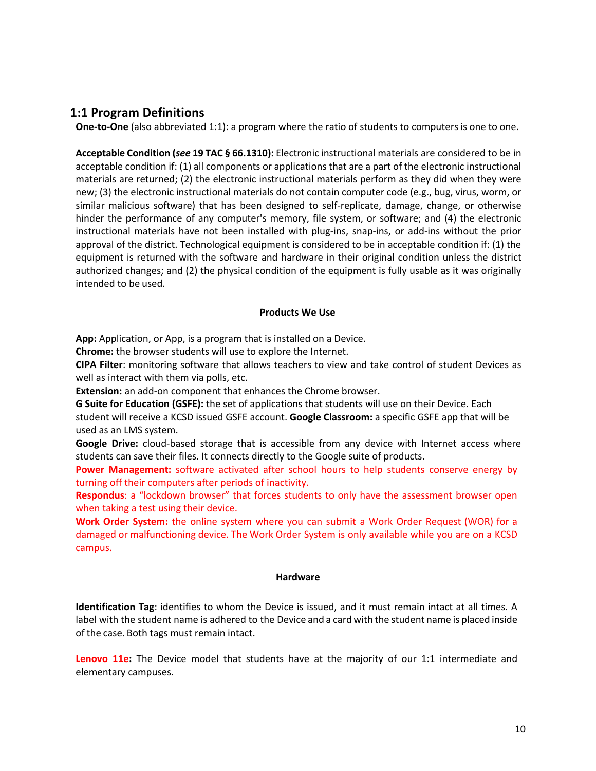### **1:1 Program Definitions**

**One-to-One** (also abbreviated 1:1): a program where the ratio of students to computers is one to one.

**Acceptable Condition (***see* **19 TAC § 66.1310):** Electronic instructional materials are considered to be in acceptable condition if: (1) all components or applications that are a part of the electronic instructional materials are returned; (2) the electronic instructional materials perform as they did when they were new; (3) the electronic instructional materials do not contain computer code (e.g., bug, virus, worm, or similar malicious software) that has been designed to self-replicate, damage, change, or otherwise hinder the performance of any computer's memory, file system, or software; and (4) the electronic instructional materials have not been installed with plug-ins, snap-ins, or add-ins without the prior approval of the district. Technological equipment is considered to be in acceptable condition if: (1) the equipment is returned with the software and hardware in their original condition unless the district authorized changes; and (2) the physical condition of the equipment is fully usable as it was originally intended to be used.

#### **Products We Use**

**App:** Application, or App, is a program that is installed on a Device.

**Chrome:** the browser students will use to explore the Internet.

**CIPA Filter**: monitoring software that allows teachers to view and take control of student Devices as well as interact with them via polls, etc.

**Extension:** an add-on component that enhances the Chrome browser.

**G Suite for Education (GSFE):** the set of applications that students will use on their Device. Each student will receive a KCSD issued GSFE account. **Google Classroom:** a specific GSFE app that will be used as an LMS system.

**Google Drive:** cloud-based storage that is accessible from any device with Internet access where students can save their files. It connects directly to the Google suite of products.

**Power Management:** software activated after school hours to help students conserve energy by turning off their computers after periods of inactivity.

**Respondus**: a "lockdown browser" that forces students to only have the assessment browser open when taking a test using their device.

**Work Order System:** the online system where you can submit a Work Order Request (WOR) for a damaged or malfunctioning device. The Work Order System is only available while you are on a KCSD campus.

#### **Hardware**

**Identification Tag**: identifies to whom the Device is issued, and it must remain intact at all times. A label with the student name is adhered to the Device and a card with the student name is placed inside of the case. Both tags must remain intact.

**Lenovo 11e:** The Device model that students have at the majority of our 1:1 intermediate and elementary campuses.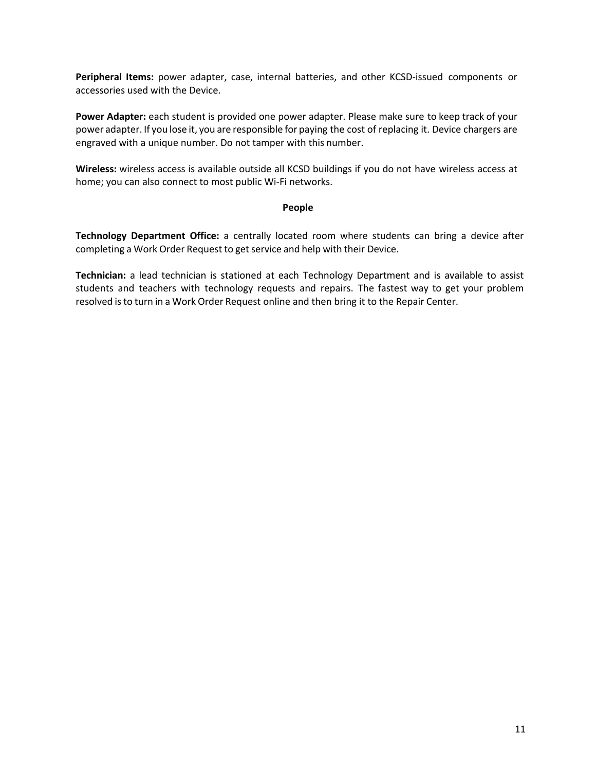**Peripheral Items:** power adapter, case, internal batteries, and other KCSD-issued components or accessories used with the Device.

**Power Adapter:** each student is provided one power adapter. Please make sure to keep track of your power adapter. If you lose it, you are responsible for paying the cost of replacing it. Device chargers are engraved with a unique number. Do not tamper with this number.

**Wireless:** wireless access is available outside all KCSD buildings if you do not have wireless access at home; you can also connect to most public Wi-Fi networks.

#### **People**

**Technology Department Office:** a centrally located room where students can bring a device after completing a Work Order Request to get service and help with their Device.

**Technician:** a lead technician is stationed at each Technology Department and is available to assist students and teachers with technology requests and repairs. The fastest way to get your problem resolved isto turn in a Work Order Request online and then bring it to the Repair Center.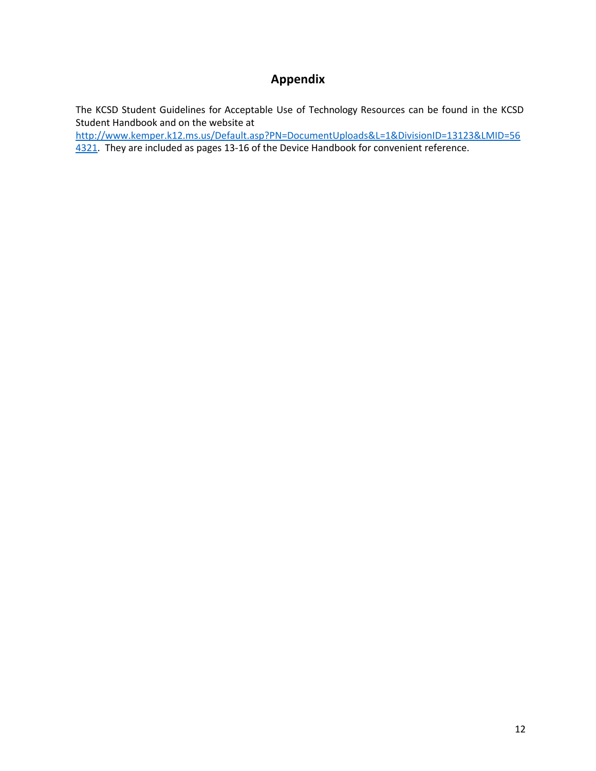# **Appendix**

The KCSD Student Guidelines for Acceptable Use of Technology Resources can be found in the KCSD Student Handbook and on the website at

http://www.kemper.k12.ms.us/Default.asp?PN=DocumentUploads&L=1&DivisionID=13123&LMID=56 4321. They are included as pages 13-16 of the Device Handbook for convenient reference.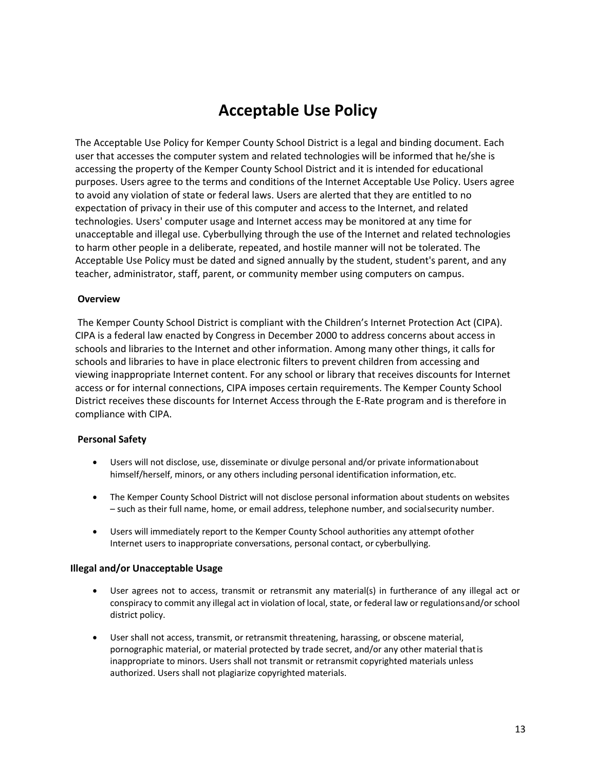# **Acceptable Use Policy**

The Acceptable Use Policy for Kemper County School District is a legal and binding document. Each user that accesses the computer system and related technologies will be informed that he/she is accessing the property of the Kemper County School District and it is intended for educational purposes. Users agree to the terms and conditions of the Internet Acceptable Use Policy. Users agree to avoid any violation of state or federal laws. Users are alerted that they are entitled to no expectation of privacy in their use of this computer and access to the Internet, and related technologies. Users' computer usage and Internet access may be monitored at any time for unacceptable and illegal use. Cyberbullying through the use of the Internet and related technologies to harm other people in a deliberate, repeated, and hostile manner will not be tolerated. The Acceptable Use Policy must be dated and signed annually by the student, student's parent, and any teacher, administrator, staff, parent, or community member using computers on campus.

#### **Overview**

The Kemper County School District is compliant with the Children's Internet Protection Act (CIPA). CIPA is a federal law enacted by Congress in December 2000 to address concerns about access in schools and libraries to the Internet and other information. Among many other things, it calls for schools and libraries to have in place electronic filters to prevent children from accessing and viewing inappropriate Internet content. For any school or library that receives discounts for Internet access or for internal connections, CIPA imposes certain requirements. The Kemper County School District receives these discounts for Internet Access through the E-Rate program and is therefore in compliance with CIPA.

#### **Personal Safety**

- Users will not disclose, use, disseminate or divulge personal and/or private informationabout himself/herself, minors, or any others including personal identification information, etc.
- The Kemper County School District will not disclose personal information about students on websites – such as their full name, home, or email address, telephone number, and socialsecurity number.
- Users will immediately report to the Kemper County School authorities any attempt ofother Internet users to inappropriate conversations, personal contact, or cyberbullying.

#### **Illegal and/or Unacceptable Usage**

- User agrees not to access, transmit or retransmit any material(s) in furtherance of any illegal act or conspiracy to commit any illegal act in violation of local, state, or federal law or regulationsand/or school district policy.
- User shall not access, transmit, or retransmit threatening, harassing, or obscene material, pornographic material, or material protected by trade secret, and/or any other material thatis inappropriate to minors. Users shall not transmit or retransmit copyrighted materials unless authorized. Users shall not plagiarize copyrighted materials.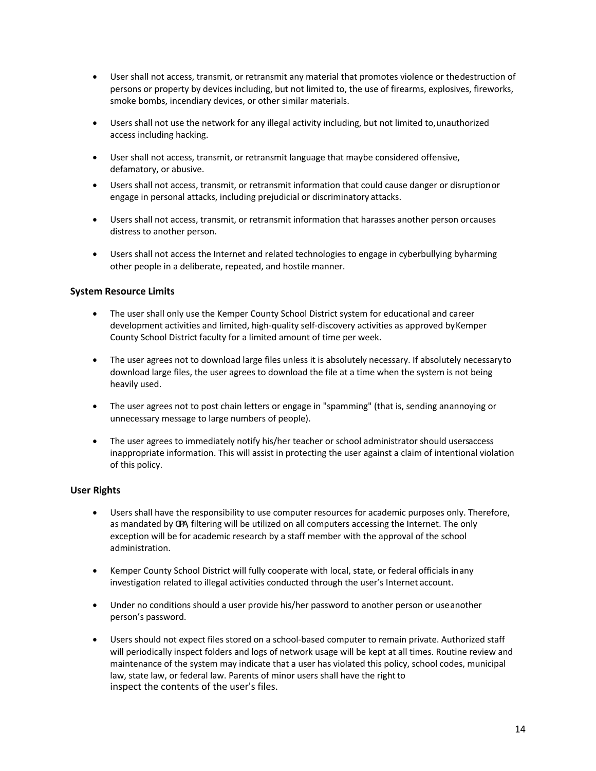- User shall not access, transmit, or retransmit any material that promotes violence or thedestruction of persons or property by devices including, but not limited to, the use of firearms, explosives, fireworks, smoke bombs, incendiary devices, or other similar materials.
- Users shall not use the network for any illegal activity including, but not limited to,unauthorized access including hacking.
- User shall not access, transmit, or retransmit language that maybe considered offensive, defamatory, or abusive.
- Users shall not access, transmit, or retransmit information that could cause danger or disruptionor engage in personal attacks, including prejudicial or discriminatory attacks.
- Users shall not access, transmit, or retransmit information that harasses another person orcauses distress to another person.
- Users shall not access the Internet and related technologies to engage in cyberbullying byharming other people in a deliberate, repeated, and hostile manner.

#### **System Resource Limits**

- The user shall only use the Kemper County School District system for educational and career development activities and limited, high-quality self-discovery activities as approved byKemper County School District faculty for a limited amount of time per week.
- The user agrees not to download large files unless it is absolutely necessary. If absolutely necessaryto download large files, the user agrees to download the file at a time when the system is not being heavily used.
- The user agrees not to post chain letters or engage in "spamming" (that is, sending anannoying or unnecessary message to large numbers of people).
- The user agrees to immediately notify his/her teacher or school administrator should users access inappropriate information. This will assist in protecting the user against a claim of intentional violation of this policy.

#### **User Rights**

- Users shall have the responsibility to use computer resources for academic purposes only. Therefore, as mandated by CPA, filtering will be utilized on all computers accessing the Internet. The only exception will be for academic research by a staff member with the approval of the school administration.
- Kemper County School District will fully cooperate with local, state, or federal officials inany investigation related to illegal activities conducted through the user's Internet account.
- Under no conditions should a user provide his/her password to another person or useanother person's password.
- Users should not expect files stored on a school-based computer to remain private. Authorized staff will periodically inspect folders and logs of network usage will be kept at all times. Routine review and maintenance of the system may indicate that a user has violated this policy, school codes, municipal law, state law, or federal law. Parents of minor users shall have the right to inspect the contents of the user's files.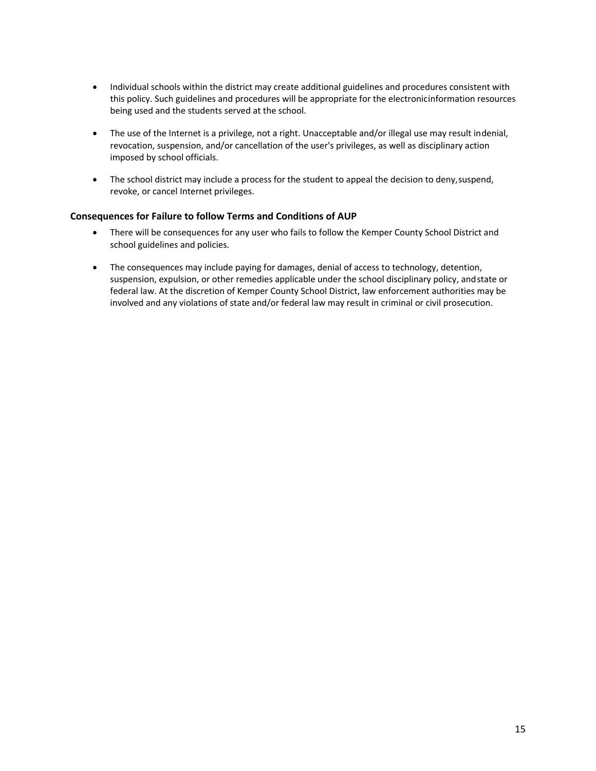- Individual schools within the district may create additional guidelines and procedures consistent with this policy. Such guidelines and procedures will be appropriate for the electronicinformation resources being used and the students served at the school.
- The use of the Internet is a privilege, not a right. Unacceptable and/or illegal use may result indenial, revocation, suspension, and/or cancellation of the user's privileges, as well as disciplinary action imposed by school officials.
- The school district may include a process for the student to appeal the decision to deny,suspend, revoke, or cancel Internet privileges.

#### **Consequences for Failure to follow Terms and Conditions of AUP**

- There will be consequences for any user who fails to follow the Kemper County School District and school guidelines and policies.
- The consequences may include paying for damages, denial of access to technology, detention, suspension, expulsion, or other remedies applicable under the school disciplinary policy, andstate or federal law. At the discretion of Kemper County School District, law enforcement authorities may be involved and any violations of state and/or federal law may result in criminal or civil prosecution.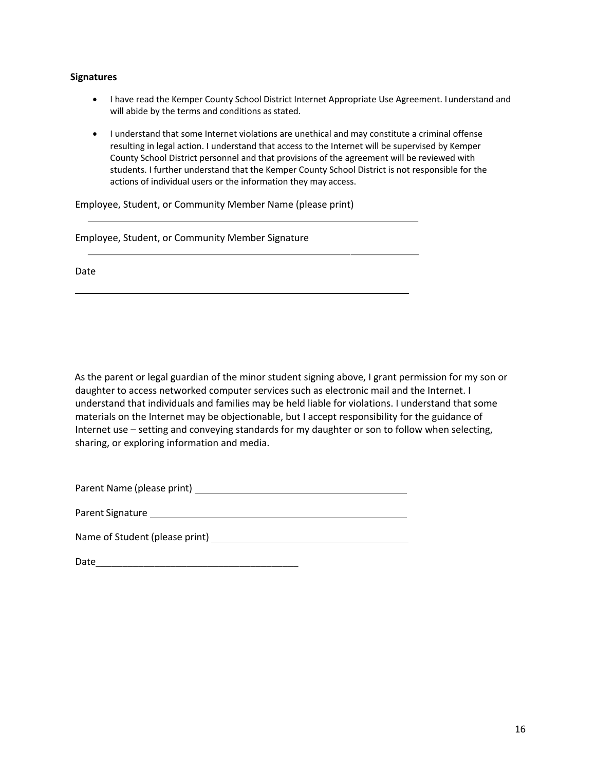#### **Signatures**

- I have read the Kemper County School District Internet Appropriate Use Agreement. Iunderstand and will abide by the terms and conditions as stated.
- I understand that some Internet violations are unethical and may constitute a criminal offense resulting in legal action. I understand that access to the Internet will be supervised by Kemper County School District personnel and that provisions of the agreement will be reviewed with students. I further understand that the Kemper County School District is not responsible for the actions of individual users or the information they may access.

Employee, Student, or Community Member Name (please print)

|  |  | Employee, Student, or Community Member Signature |
|--|--|--------------------------------------------------|
|--|--|--------------------------------------------------|

Date

As the parent or legal guardian of the minor student signing above, I grant permission for my son or daughter to access networked computer services such as electronic mail and the Internet. I understand that individuals and families may be held liable for violations. I understand that some materials on the Internet may be objectionable, but I accept responsibility for the guidance of Internet use – setting and conveying standards for my daughter or son to follow when selecting, sharing, or exploring information and media.

| Parent Name (please print) |
|----------------------------|
|----------------------------|

Name of Student (please print)

Date\_\_\_\_\_\_\_\_\_\_\_\_\_\_\_\_\_\_\_\_\_\_\_\_\_\_\_\_\_\_\_\_\_\_\_\_\_\_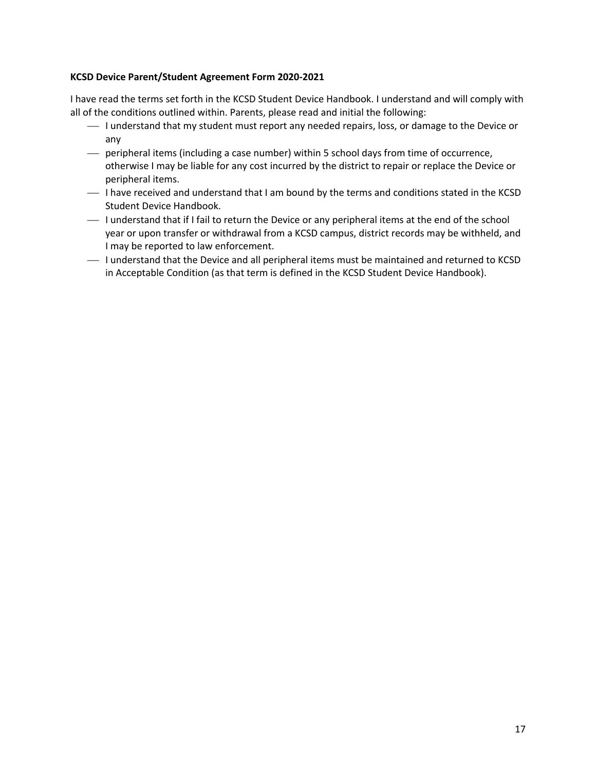#### **KCSD Device Parent/Student Agreement Form 2020-2021**

I have read the terms set forth in the KCSD Student Device Handbook. I understand and will comply with all of the conditions outlined within. Parents, please read and initial the following:

- ¾ I understand that my student must report any needed repairs, loss, or damage to the Device or any
- ¾ peripheral items (including a case number) within 5 school days from time of occurrence, otherwise I may be liable for any cost incurred by the district to repair or replace the Device or peripheral items.
- ¾ I have received and understand that I am bound by the terms and conditions stated in the KCSD Student Device Handbook.
- ¾ I understand that if I fail to return the Device or any peripheral items at the end of the school year or upon transfer or withdrawal from a KCSD campus, district records may be withheld, and I may be reported to law enforcement.
- ¾ I understand that the Device and all peripheral items must be maintained and returned to KCSD in Acceptable Condition (as that term is defined in the KCSD Student Device Handbook).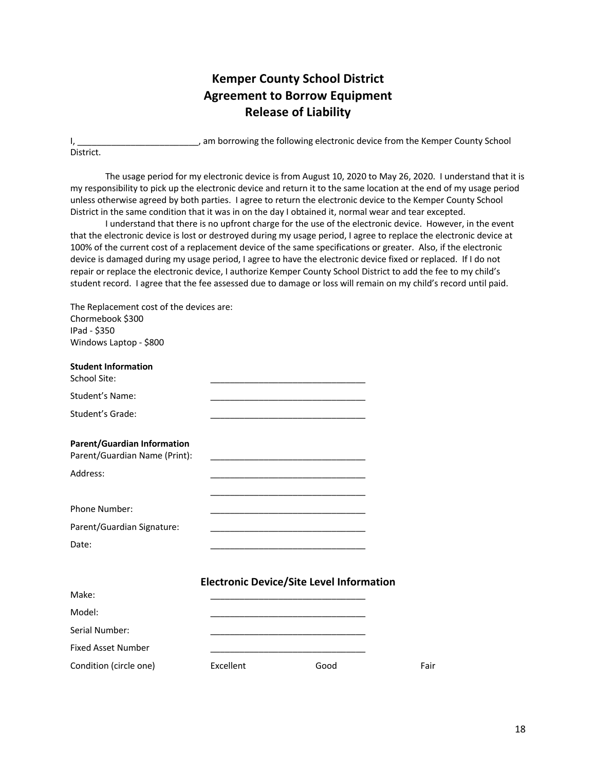# **Kemper County School District Agreement to Borrow Equipment Release of Liability**

I, The same of the following electronic device from the Kemper County School is a semi-District.

The usage period for my electronic device is from August 10, 2020 to May 26, 2020. I understand that it is my responsibility to pick up the electronic device and return it to the same location at the end of my usage period unless otherwise agreed by both parties. I agree to return the electronic device to the Kemper County School District in the same condition that it was in on the day I obtained it, normal wear and tear excepted.

I understand that there is no upfront charge for the use of the electronic device. However, in the event that the electronic device is lost or destroyed during my usage period, I agree to replace the electronic device at 100% of the current cost of a replacement device of the same specifications or greater. Also, if the electronic device is damaged during my usage period, I agree to have the electronic device fixed or replaced. If I do not repair or replace the electronic device, I authorize Kemper County School District to add the fee to my child's student record. I agree that the fee assessed due to damage or loss will remain on my child's record until paid.

The Replacement cost of the devices are: Chormebook \$300 IPad - \$350 Windows Laptop - \$800 **Student Information** School Site: Student's Name: Student's Grade: **Parent/Guardian Information** Parent/Guardian Name (Print): Address: \_\_\_\_\_\_\_\_\_\_\_\_\_\_\_\_\_\_\_\_\_\_\_\_\_\_\_\_\_\_\_\_ \_\_\_\_\_\_\_\_\_\_\_\_\_\_\_\_\_\_\_\_\_\_\_\_\_\_\_\_\_\_\_\_ Phone Number: Parent/Guardian Signature:

**Electronic Device/Site Level Information**

| Make:                     |           |      |      |
|---------------------------|-----------|------|------|
| Model:                    |           |      |      |
| Serial Number:            |           |      |      |
| <b>Fixed Asset Number</b> |           |      |      |
| Condition (circle one)    | Excellent | Good | Fair |

Date: \_\_\_\_\_\_\_\_\_\_\_\_\_\_\_\_\_\_\_\_\_\_\_\_\_\_\_\_\_\_\_\_